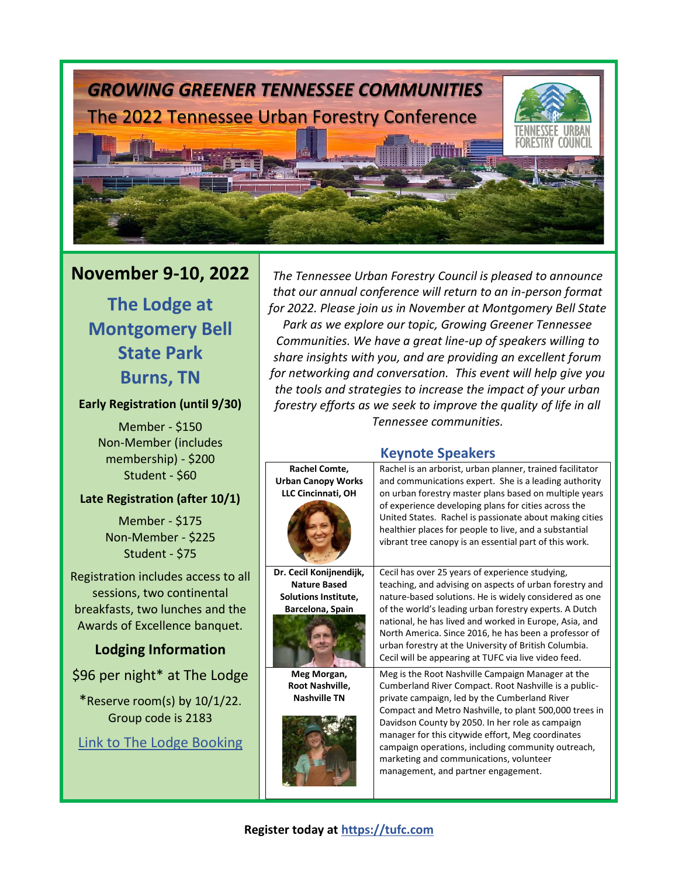

# **November 9-10, 2022**

**The Lodge at Montgomery Bell State Park Burns, TN**

# **Early Registration (until 9/30)**

Member - \$150 Non-Member (includes membership) - \$200 Student - \$60

# **Late Registration (after 10/1)**

Member - \$175 Non-Member - \$225 Student - \$75

Registration includes access to all sessions, two continental breakfasts, two lunches and the Awards of Excellence banquet.

# **Lodging Information**

\$96 per night\* at The Lodge

\*Reserve room(s) by 10/1/22. Group code is 2183

[Link to The Lodge Booking](https://tnstateparks.com/lodges/montgomery-bell)

*The Tennessee Urban Forestry Council is pleased to announce that our annual conference will return to an in-person format for 2022. Please join us in November at Montgomery Bell State Park as we explore our topic, Growing Greener Tennessee Communities. We have a great line-up of speakers willing to share insights with you, and are providing an excellent forum for networking and conversation. This event will help give you the tools and strategies to increase the impact of your urban forestry efforts as we seek to improve the quality of life in all Tennessee communities.*

# **Keynote Speakers**

| Rachel Comte,<br><b>Urban Canopy Works</b><br>LLC Cincinnati, OH                                  | Rachel is an arborist, urban planner, trained facilitator<br>and communications expert. She is a leading authority<br>on urban forestry master plans based on multiple years<br>of experience developing plans for cities across the<br>United States. Rachel is passionate about making cities<br>healthier places for people to live, and a substantial<br>vibrant tree canopy is an essential part of this work.                                                    |
|---------------------------------------------------------------------------------------------------|------------------------------------------------------------------------------------------------------------------------------------------------------------------------------------------------------------------------------------------------------------------------------------------------------------------------------------------------------------------------------------------------------------------------------------------------------------------------|
| Dr. Cecil Konijnendijk,<br><b>Nature Based</b><br><b>Solutions Institute,</b><br>Barcelona, Spain | Cecil has over 25 years of experience studying,<br>teaching, and advising on aspects of urban forestry and<br>nature-based solutions. He is widely considered as one<br>of the world's leading urban forestry experts. A Dutch<br>national, he has lived and worked in Europe, Asia, and<br>North America. Since 2016, he has been a professor of<br>urban forestry at the University of British Columbia.<br>Cecil will be appearing at TUFC via live video feed.     |
| Meg Morgan,<br>Root Nashville,<br><b>Nashville TN</b>                                             | Meg is the Root Nashville Campaign Manager at the<br>Cumberland River Compact. Root Nashville is a public-<br>private campaign, led by the Cumberland River<br>Compact and Metro Nashville, to plant 500,000 trees in<br>Davidson County by 2050. In her role as campaign<br>manager for this citywide effort, Meg coordinates<br>campaign operations, including community outreach,<br>marketing and communications, volunteer<br>management, and partner engagement. |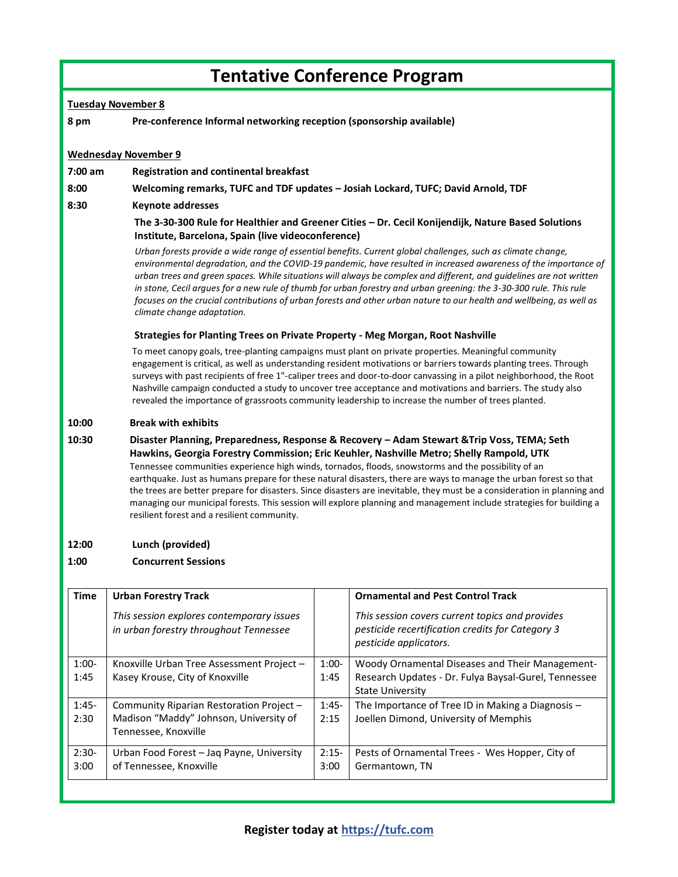# **Tentative Conference Program**

**Tuesday November 8**

**8 pm Pre-conference Informal networking reception (sponsorship available)**

#### **Wednesday November 9**

**7:00 am Registration and continental breakfast**

**8:00 Welcoming remarks, TUFC and TDF updates – Josiah Lockard, TUFC; David Arnold, TDF** 

**8:30 Keynote addresses**

### **The 3-30-300 Rule for Healthier and Greener Cities – Dr. Cecil Konijendijk, Nature Based Solutions Institute, Barcelona, Spain (live videoconference)**

*Urban forests provide a wide range of essential benefits. Current global challenges, such as climate change,*  environmental degradation, and the COVID-19 pandemic, have resulted in increased awareness of the importance of *urban trees and green spaces. While situations will always be complex and different, and guidelines are not written in stone, Cecil argues for a new rule of thumb for urban forestry and urban greening: the 3-30-300 rule. This rule focuses on the crucial contributions of urban forests and other urban nature to our health and wellbeing, as well as climate change adaptation.* 

#### **Strategies for Planting Trees on Private Property - Meg Morgan, Root Nashville**

To meet canopy goals, tree-planting campaigns must plant on private properties. Meaningful community engagement is critical, as well as understanding resident motivations or barriers towards planting trees. Through surveys with past recipients of free 1"-caliper trees and door-to-door canvassing in a pilot neighborhood, the Root Nashville campaign conducted a study to uncover tree acceptance and motivations and barriers. The study also revealed the importance of grassroots community leadership to increase the number of trees planted.

#### **10:00 Break with exhibits**

**10:30 Disaster Planning, Preparedness, Response & Recovery – Adam Stewart &Trip Voss, TEMA; Seth Hawkins, Georgia Forestry Commission; Eric Keuhler, Nashville Metro; Shelly Rampold, UTK** Tennessee communities experience high winds, tornados, floods, snowstorms and the possibility of an earthquake. Just as humans prepare for these natural disasters, there are ways to manage the urban forest so that the trees are better prepare for disasters. Since disasters are inevitable, they must be a consideration in planning and managing our municipal forests. This session will explore planning and management include strategies for building a resilient forest and a resilient community.

#### **12:00 Lunch (provided)**

#### **1:00 Concurrent Sessions**

| <b>Time</b> | <b>Urban Forestry Track</b>                                                         |         | <b>Ornamental and Pest Control Track</b>                                                                                      |
|-------------|-------------------------------------------------------------------------------------|---------|-------------------------------------------------------------------------------------------------------------------------------|
|             | This session explores contemporary issues<br>in urban forestry throughout Tennessee |         | This session covers current topics and provides<br>pesticide recertification credits for Category 3<br>pesticide applicators. |
| $1:00-$     | Knoxville Urban Tree Assessment Project -                                           |         | Woody Ornamental Diseases and Their Management-                                                                               |
| 1:45        | Kasey Krouse, City of Knoxville                                                     | 1:45    | Research Updates - Dr. Fulya Baysal-Gurel, Tennessee                                                                          |
|             |                                                                                     |         | <b>State University</b>                                                                                                       |
| $1:45-$     | Community Riparian Restoration Project -                                            |         | The Importance of Tree ID in Making a Diagnosis $-$                                                                           |
| 2:30        | Madison "Maddy" Johnson, University of                                              |         | Joellen Dimond, University of Memphis                                                                                         |
|             | Tennessee, Knoxville                                                                |         |                                                                                                                               |
| $2:30-$     | Urban Food Forest - Jaq Payne, University                                           | $2:15-$ | Pests of Ornamental Trees - Wes Hopper, City of                                                                               |
| 3:00        | of Tennessee, Knoxville                                                             | 3:00    | Germantown, TN                                                                                                                |
|             |                                                                                     |         |                                                                                                                               |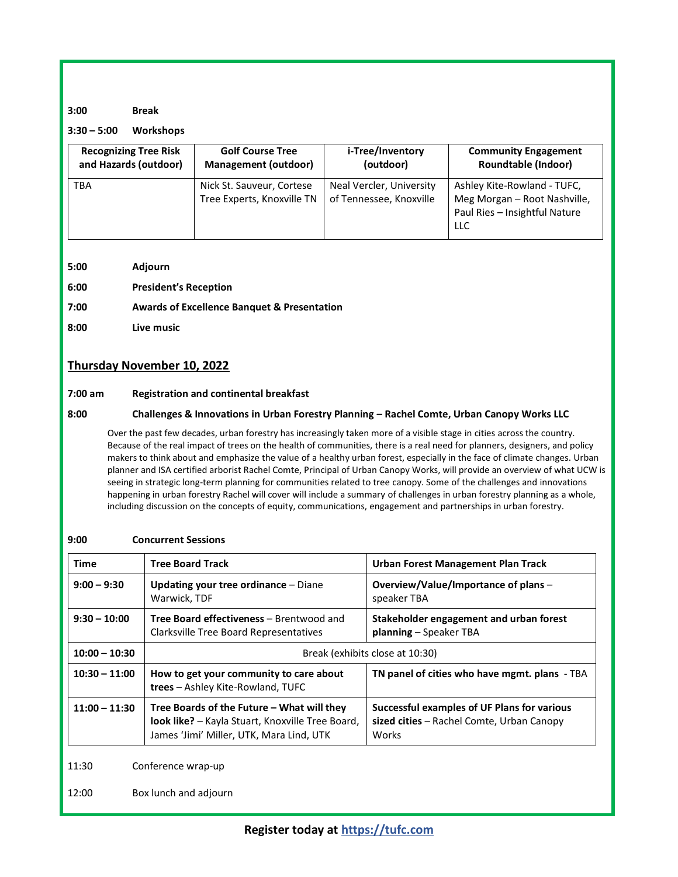## **3:00 Break**

#### **3:30 – 5:00 Workshops**

| <b>Recognizing Tree Risk</b> | <b>Golf Course Tree</b>                                 | i-Tree/Inventory                                    | <b>Community Engagement</b>                                                                                |
|------------------------------|---------------------------------------------------------|-----------------------------------------------------|------------------------------------------------------------------------------------------------------------|
| and Hazards (outdoor)        | <b>Management (outdoor)</b>                             | (outdoor)                                           | <b>Roundtable (Indoor)</b>                                                                                 |
| TBA                          | Nick St. Sauveur, Cortese<br>Tree Experts, Knoxville TN | Neal Vercler, University<br>of Tennessee, Knoxville | Ashley Kite-Rowland - TUFC,<br>Meg Morgan - Root Nashville,<br>Paul Ries - Insightful Nature<br><b>LLC</b> |

- **5:00 Adjourn**
- **6:00 President's Reception**
- **7:00 Awards of Excellence Banquet & Presentation**
- **8:00 Live music**

# **Thursday November 10, 2022**

### **7:00 am Registration and continental breakfast**

## **8:00 Challenges & Innovations in Urban Forestry Planning – Rachel Comte, Urban Canopy Works LLC**

Over the past few decades, urban forestry has increasingly taken more of a visible stage in cities across the country. Because of the real impact of trees on the health of communities, there is a real need for planners, designers, and policy makers to think about and emphasize the value of a healthy urban forest, especially in the face of climate changes. Urban planner and ISA certified arborist Rachel Comte, Principal of Urban Canopy Works, will provide an overview of what UCW is seeing in strategic long-term planning for communities related to tree canopy. Some of the challenges and innovations happening in urban forestry Rachel will cover will include a summary of challenges in urban forestry planning as a whole, including discussion on the concepts of equity, communications, engagement and partnerships in urban forestry.

## **9:00 Concurrent Sessions**

| Time            | <b>Tree Board Track</b>                                                                                                                           | <b>Urban Forest Management Plan Track</b>                                                         |  |
|-----------------|---------------------------------------------------------------------------------------------------------------------------------------------------|---------------------------------------------------------------------------------------------------|--|
| $9:00 - 9:30$   | Updating your tree ordinance $-$ Diane<br>Warwick, TDF                                                                                            | Overview/Value/Importance of plans -<br>speaker TBA                                               |  |
| $9:30 - 10:00$  | <b>Tree Board effectiveness - Brentwood and</b><br>Clarksville Tree Board Representatives                                                         | Stakeholder engagement and urban forest<br><b>planning</b> $-$ Speaker TBA                        |  |
| $10:00 - 10:30$ | Break (exhibits close at 10:30)                                                                                                                   |                                                                                                   |  |
| $10:30 - 11:00$ | How to get your community to care about<br>trees - Ashley Kite-Rowland, TUFC                                                                      | TN panel of cities who have mgmt. plans - TBA                                                     |  |
| $11:00 - 11:30$ | Tree Boards of the Future - What will they<br><b>look like?</b> - Kayla Stuart, Knoxville Tree Board,<br>James 'Jimi' Miller, UTK, Mara Lind, UTK | Successful examples of UF Plans for various<br>sized cities - Rachel Comte, Urban Canopy<br>Works |  |

11:30 Conference wrap-up

12:00 Box lunch and adjourn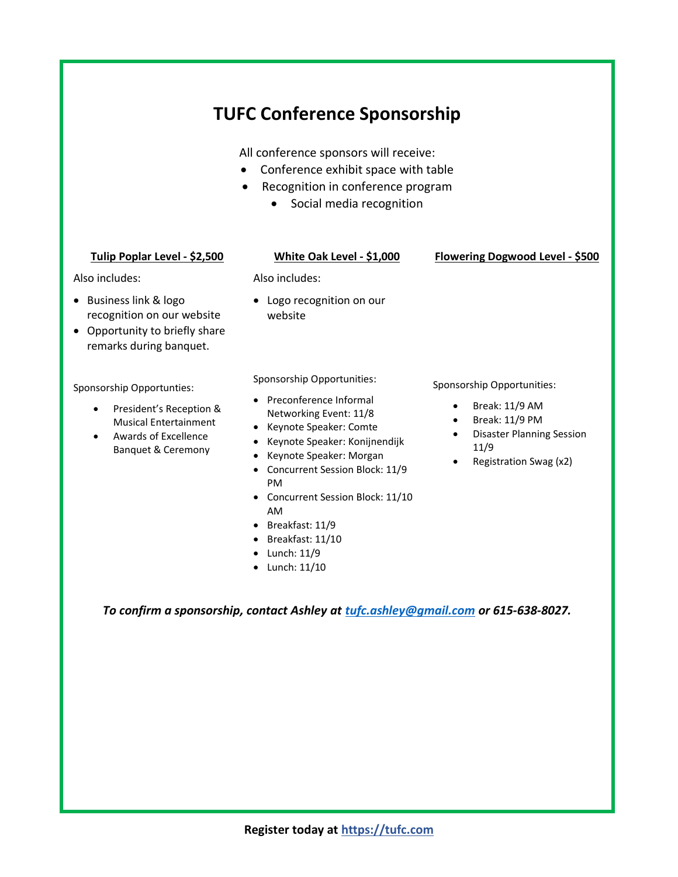# **TUFC Conference Sponsorship**

All conference sponsors will receive:

- Conference exhibit space with table
- Recognition in conference program
	- Social media recognition

# **Tulip Poplar Level - \$2,500**

Also includes:

- Business link & logo recognition on our website
- Opportunity to briefly share remarks during banquet.

Sponsorship Opportunties:

- President's Reception & Musical Entertainment
- Awards of Excellence Banquet & Ceremony

# **White Oak Level - \$1,000**

Also includes:

• Logo recognition on our website

Sponsorship Opportunities:

- Preconference Informal Networking Event: 11/8
- Keynote Speaker: Comte
- Keynote Speaker: Konijnendijk
- Keynote Speaker: Morgan
- Concurrent Session Block: 11/9 PM
- Concurrent Session Block: 11/10 AM
- Breakfast: 11/9
- Breakfast: 11/10
- Lunch: 11/9
- Lunch: 11/10

*To confirm a sponsorship, contact Ashley at [tufc.ashley@gmail.com](mailto:tufc.ashley@gmail.com) or 615-638-8027.*

### Sponsorship Opportunities:

- Break: 11/9 AM
- Break: 11/9 PM
- Disaster Planning Session 11/9

**Flowering Dogwood Level - \$500**

• Registration Swag (x2)